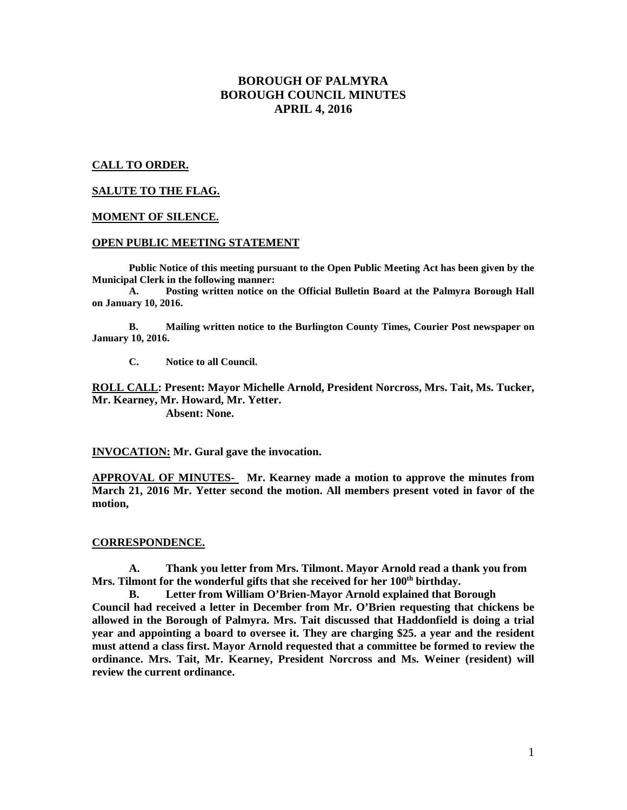# **BOROUGH OF PALMYRA BOROUGH COUNCIL MINUTES APRIL 4, 2016**

# **CALL TO ORDER.**

# **SALUTE TO THE FLAG.**

### **MOMENT OF SILENCE.**

#### **OPEN PUBLIC MEETING STATEMENT**

**Public Notice of this meeting pursuant to the Open Public Meeting Act has been given by the Municipal Clerk in the following manner:** 

 **A. Posting written notice on the Official Bulletin Board at the Palmyra Borough Hall on January 10, 2016.** 

 **B. Mailing written notice to the Burlington County Times, Courier Post newspaper on January 10, 2016.** 

 **C. Notice to all Council.** 

**ROLL CALL: Present: Mayor Michelle Arnold, President Norcross, Mrs. Tait, Ms. Tucker, Mr. Kearney, Mr. Howard, Mr. Yetter. Absent: None.** 

**INVOCATION: Mr. Gural gave the invocation.** 

**APPROVAL OF MINUTES- Mr. Kearney made a motion to approve the minutes from March 21, 2016 Mr. Yetter second the motion. All members present voted in favor of the motion,** 

#### **CORRESPONDENCE.**

**A. Thank you letter from Mrs. Tilmont. Mayor Arnold read a thank you from Mrs. Tilmont for the wonderful gifts that she received for her 100th birthday.** 

**B. Letter from William O'Brien-Mayor Arnold explained that Borough Council had received a letter in December from Mr. O'Brien requesting that chickens be allowed in the Borough of Palmyra. Mrs. Tait discussed that Haddonfield is doing a trial year and appointing a board to oversee it. They are charging \$25. a year and the resident must attend a class first. Mayor Arnold requested that a committee be formed to review the ordinance. Mrs. Tait, Mr. Kearney, President Norcross and Ms. Weiner (resident) will review the current ordinance.**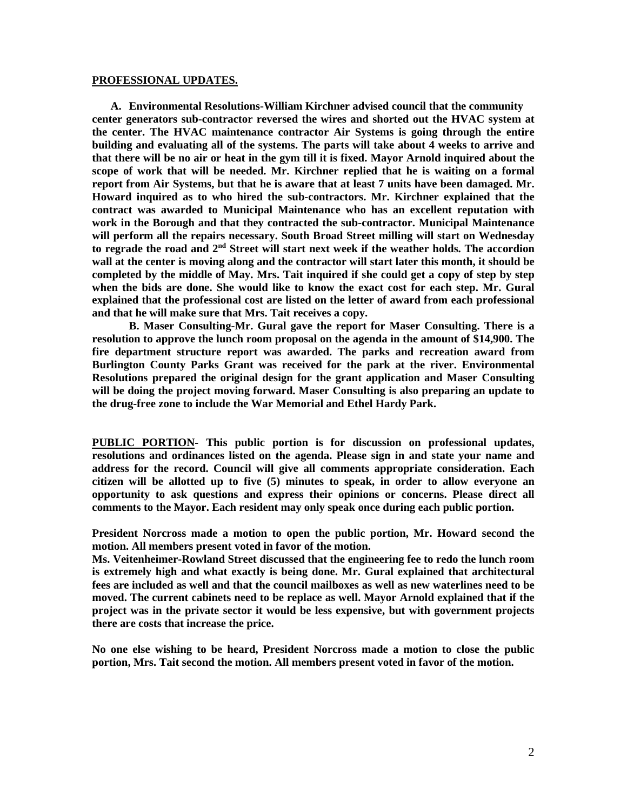#### **PROFESSIONAL UPDATES.**

**A. Environmental Resolutions-William Kirchner advised council that the community center generators sub-contractor reversed the wires and shorted out the HVAC system at the center. The HVAC maintenance contractor Air Systems is going through the entire building and evaluating all of the systems. The parts will take about 4 weeks to arrive and that there will be no air or heat in the gym till it is fixed. Mayor Arnold inquired about the scope of work that will be needed. Mr. Kirchner replied that he is waiting on a formal report from Air Systems, but that he is aware that at least 7 units have been damaged. Mr. Howard inquired as to who hired the sub-contractors. Mr. Kirchner explained that the contract was awarded to Municipal Maintenance who has an excellent reputation with work in the Borough and that they contracted the sub-contractor. Municipal Maintenance will perform all the repairs necessary. South Broad Street milling will start on Wednesday to regrade the road and 2nd Street will start next week if the weather holds. The accordion wall at the center is moving along and the contractor will start later this month, it should be completed by the middle of May. Mrs. Tait inquired if she could get a copy of step by step when the bids are done. She would like to know the exact cost for each step. Mr. Gural explained that the professional cost are listed on the letter of award from each professional and that he will make sure that Mrs. Tait receives a copy.** 

 **B. Maser Consulting-Mr. Gural gave the report for Maser Consulting. There is a resolution to approve the lunch room proposal on the agenda in the amount of \$14,900. The fire department structure report was awarded. The parks and recreation award from Burlington County Parks Grant was received for the park at the river. Environmental Resolutions prepared the original design for the grant application and Maser Consulting will be doing the project moving forward. Maser Consulting is also preparing an update to the drug-free zone to include the War Memorial and Ethel Hardy Park.** 

**PUBLIC PORTION- This public portion is for discussion on professional updates, resolutions and ordinances listed on the agenda. Please sign in and state your name and address for the record. Council will give all comments appropriate consideration. Each citizen will be allotted up to five (5) minutes to speak, in order to allow everyone an opportunity to ask questions and express their opinions or concerns. Please direct all comments to the Mayor. Each resident may only speak once during each public portion.** 

**President Norcross made a motion to open the public portion, Mr. Howard second the motion. All members present voted in favor of the motion.** 

**Ms. Veitenheimer-Rowland Street discussed that the engineering fee to redo the lunch room is extremely high and what exactly is being done. Mr. Gural explained that architectural fees are included as well and that the council mailboxes as well as new waterlines need to be moved. The current cabinets need to be replace as well. Mayor Arnold explained that if the project was in the private sector it would be less expensive, but with government projects there are costs that increase the price.** 

**No one else wishing to be heard, President Norcross made a motion to close the public portion, Mrs. Tait second the motion. All members present voted in favor of the motion.**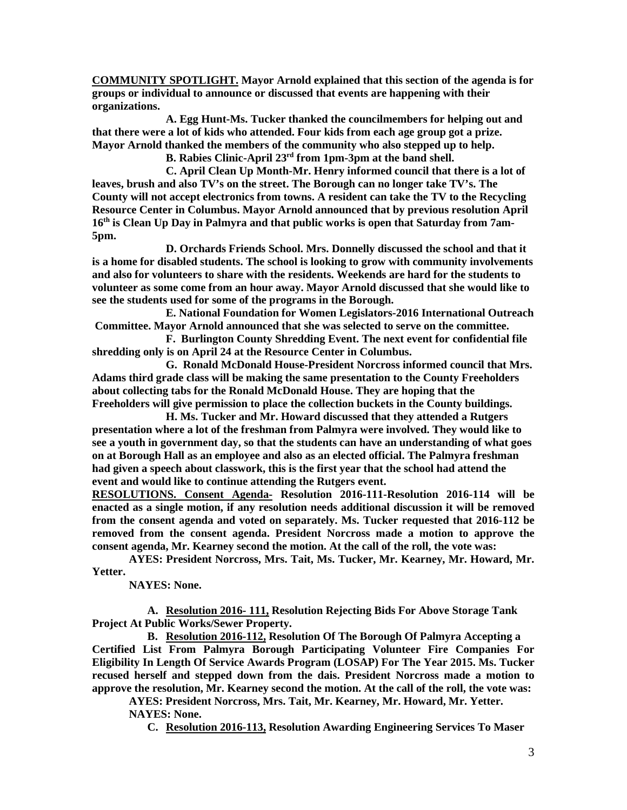**COMMUNITY SPOTLIGHT. Mayor Arnold explained that this section of the agenda is for groups or individual to announce or discussed that events are happening with their organizations.** 

**A. Egg Hunt-Ms. Tucker thanked the councilmembers for helping out and that there were a lot of kids who attended. Four kids from each age group got a prize. Mayor Arnold thanked the members of the community who also stepped up to help.** 

 **B. Rabies Clinic-April 23rd from 1pm-3pm at the band shell.** 

 **C. April Clean Up Month-Mr. Henry informed council that there is a lot of leaves, brush and also TV's on the street. The Borough can no longer take TV's. The County will not accept electronics from towns. A resident can take the TV to the Recycling Resource Center in Columbus. Mayor Arnold announced that by previous resolution April 16th is Clean Up Day in Palmyra and that public works is open that Saturday from 7am-5pm.** 

 **D. Orchards Friends School. Mrs. Donnelly discussed the school and that it is a home for disabled students. The school is looking to grow with community involvements and also for volunteers to share with the residents. Weekends are hard for the students to volunteer as some come from an hour away. Mayor Arnold discussed that she would like to see the students used for some of the programs in the Borough.** 

**E. National Foundation for Women Legislators-2016 International Outreach Committee. Mayor Arnold announced that she was selected to serve on the committee.** 

**F. Burlington County Shredding Event. The next event for confidential file shredding only is on April 24 at the Resource Center in Columbus.** 

 **G. Ronald McDonald House-President Norcross informed council that Mrs. Adams third grade class will be making the same presentation to the County Freeholders about collecting tabs for the Ronald McDonald House. They are hoping that the Freeholders will give permission to place the collection buckets in the County buildings.** 

 **H. Ms. Tucker and Mr. Howard discussed that they attended a Rutgers presentation where a lot of the freshman from Palmyra were involved. They would like to see a youth in government day, so that the students can have an understanding of what goes on at Borough Hall as an employee and also as an elected official. The Palmyra freshman had given a speech about classwork, this is the first year that the school had attend the event and would like to continue attending the Rutgers event.** 

**RESOLUTIONS. Consent Agenda- Resolution 2016-111-Resolution 2016-114 will be enacted as a single motion, if any resolution needs additional discussion it will be removed from the consent agenda and voted on separately. Ms. Tucker requested that 2016-112 be removed from the consent agenda. President Norcross made a motion to approve the consent agenda, Mr. Kearney second the motion. At the call of the roll, the vote was:** 

 **AYES: President Norcross, Mrs. Tait, Ms. Tucker, Mr. Kearney, Mr. Howard, Mr. Yetter.** 

 **NAYES: None.** 

**A. Resolution 2016- 111, Resolution Rejecting Bids For Above Storage Tank Project At Public Works/Sewer Property.** 

**B. Resolution 2016-112, Resolution Of The Borough Of Palmyra Accepting a Certified List From Palmyra Borough Participating Volunteer Fire Companies For Eligibility In Length Of Service Awards Program (LOSAP) For The Year 2015. Ms. Tucker recused herself and stepped down from the dais. President Norcross made a motion to approve the resolution, Mr. Kearney second the motion. At the call of the roll, the vote was:** 

 **AYES: President Norcross, Mrs. Tait, Mr. Kearney, Mr. Howard, Mr. Yetter. NAYES: None.** 

**C. Resolution 2016-113, Resolution Awarding Engineering Services To Maser**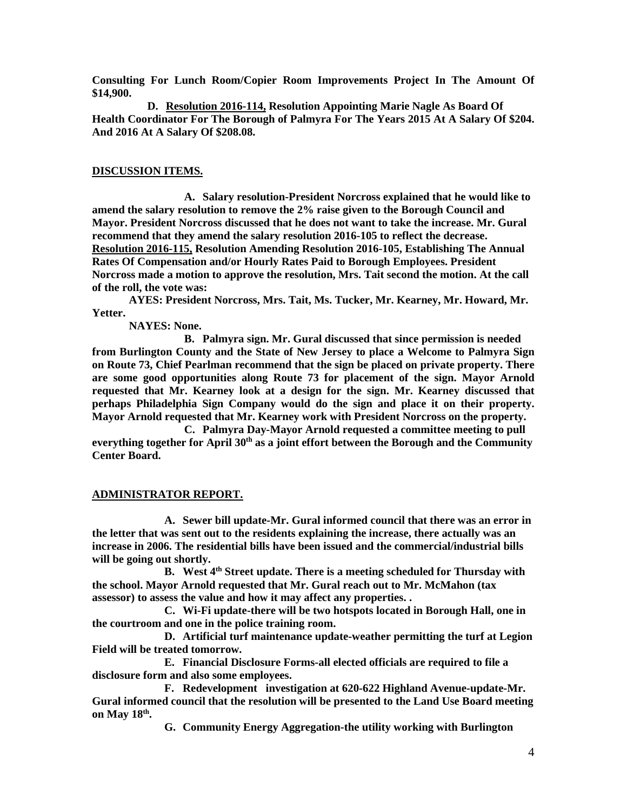**Consulting For Lunch Room/Copier Room Improvements Project In The Amount Of \$14,900.** 

**D. Resolution 2016-114, Resolution Appointing Marie Nagle As Board Of Health Coordinator For The Borough of Palmyra For The Years 2015 At A Salary Of \$204. And 2016 At A Salary Of \$208.08.** 

# **DISCUSSION ITEMS.**

**A. Salary resolution-President Norcross explained that he would like to amend the salary resolution to remove the 2% raise given to the Borough Council and Mayor. President Norcross discussed that he does not want to take the increase. Mr. Gural recommend that they amend the salary resolution 2016-105 to reflect the decrease. Resolution 2016-115, Resolution Amending Resolution 2016-105, Establishing The Annual Rates Of Compensation and/or Hourly Rates Paid to Borough Employees. President Norcross made a motion to approve the resolution, Mrs. Tait second the motion. At the call of the roll, the vote was:** 

 **AYES: President Norcross, Mrs. Tait, Ms. Tucker, Mr. Kearney, Mr. Howard, Mr. Yetter.** 

 **NAYES: None.** 

**B. Palmyra sign. Mr. Gural discussed that since permission is needed from Burlington County and the State of New Jersey to place a Welcome to Palmyra Sign on Route 73, Chief Pearlman recommend that the sign be placed on private property. There are some good opportunities along Route 73 for placement of the sign. Mayor Arnold requested that Mr. Kearney look at a design for the sign. Mr. Kearney discussed that perhaps Philadelphia Sign Company would do the sign and place it on their property. Mayor Arnold requested that Mr. Kearney work with President Norcross on the property.** 

**C. Palmyra Day-Mayor Arnold requested a committee meeting to pull everything together for April 30th as a joint effort between the Borough and the Community Center Board.** 

# **ADMINISTRATOR REPORT.**

**A. Sewer bill update-Mr. Gural informed council that there was an error in the letter that was sent out to the residents explaining the increase, there actually was an increase in 2006. The residential bills have been issued and the commercial/industrial bills will be going out shortly.** 

**B. West 4th Street update. There is a meeting scheduled for Thursday with the school. Mayor Arnold requested that Mr. Gural reach out to Mr. McMahon (tax assessor) to assess the value and how it may affect any properties. .** 

**C. Wi-Fi update-there will be two hotspots located in Borough Hall, one in the courtroom and one in the police training room.** 

**D. Artificial turf maintenance update-weather permitting the turf at Legion Field will be treated tomorrow.** 

**E. Financial Disclosure Forms-all elected officials are required to file a disclosure form and also some employees.** 

**F. Redevelopment investigation at 620-622 Highland Avenue-update-Mr. Gural informed council that the resolution will be presented to the Land Use Board meeting on May 18th .** 

**G. Community Energy Aggregation-the utility working with Burlington**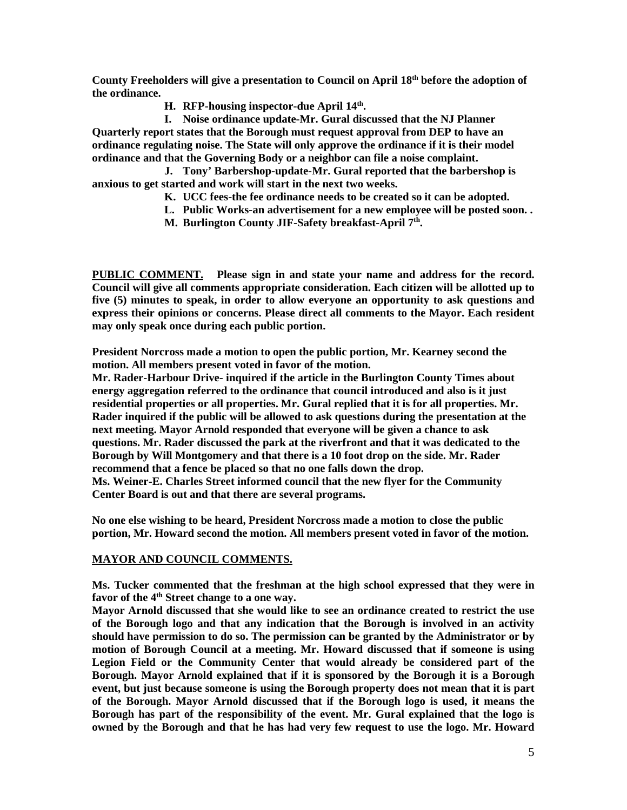**County Freeholders will give a presentation to Council on April 18th before the adoption of the ordinance.** 

**H. RFP-housing inspector-due April 14th .** 

**I. Noise ordinance update-Mr. Gural discussed that the NJ Planner Quarterly report states that the Borough must request approval from DEP to have an ordinance regulating noise. The State will only approve the ordinance if it is their model ordinance and that the Governing Body or a neighbor can file a noise complaint.** 

**J. Tony' Barbershop-update-Mr. Gural reported that the barbershop is anxious to get started and work will start in the next two weeks.** 

- **K. UCC fees-the fee ordinance needs to be created so it can be adopted.**
- **L. Public Works-an advertisement for a new employee will be posted soon. .**
- **M. Burlington County JIF-Safety breakfast-April 7th .**

**PUBLIC COMMENT. Please sign in and state your name and address for the record. Council will give all comments appropriate consideration. Each citizen will be allotted up to five (5) minutes to speak, in order to allow everyone an opportunity to ask questions and express their opinions or concerns. Please direct all comments to the Mayor. Each resident may only speak once during each public portion.** 

**President Norcross made a motion to open the public portion, Mr. Kearney second the motion. All members present voted in favor of the motion.** 

**Mr. Rader-Harbour Drive- inquired if the article in the Burlington County Times about energy aggregation referred to the ordinance that council introduced and also is it just residential properties or all properties. Mr. Gural replied that it is for all properties. Mr. Rader inquired if the public will be allowed to ask questions during the presentation at the next meeting. Mayor Arnold responded that everyone will be given a chance to ask questions. Mr. Rader discussed the park at the riverfront and that it was dedicated to the Borough by Will Montgomery and that there is a 10 foot drop on the side. Mr. Rader recommend that a fence be placed so that no one falls down the drop. Ms. Weiner-E. Charles Street informed council that the new flyer for the Community Center Board is out and that there are several programs.** 

**No one else wishing to be heard, President Norcross made a motion to close the public portion, Mr. Howard second the motion. All members present voted in favor of the motion.** 

# **MAYOR AND COUNCIL COMMENTS.**

**Ms. Tucker commented that the freshman at the high school expressed that they were in favor of the 4th Street change to a one way.** 

**Mayor Arnold discussed that she would like to see an ordinance created to restrict the use of the Borough logo and that any indication that the Borough is involved in an activity should have permission to do so. The permission can be granted by the Administrator or by motion of Borough Council at a meeting. Mr. Howard discussed that if someone is using Legion Field or the Community Center that would already be considered part of the Borough. Mayor Arnold explained that if it is sponsored by the Borough it is a Borough event, but just because someone is using the Borough property does not mean that it is part of the Borough. Mayor Arnold discussed that if the Borough logo is used, it means the Borough has part of the responsibility of the event. Mr. Gural explained that the logo is owned by the Borough and that he has had very few request to use the logo. Mr. Howard**